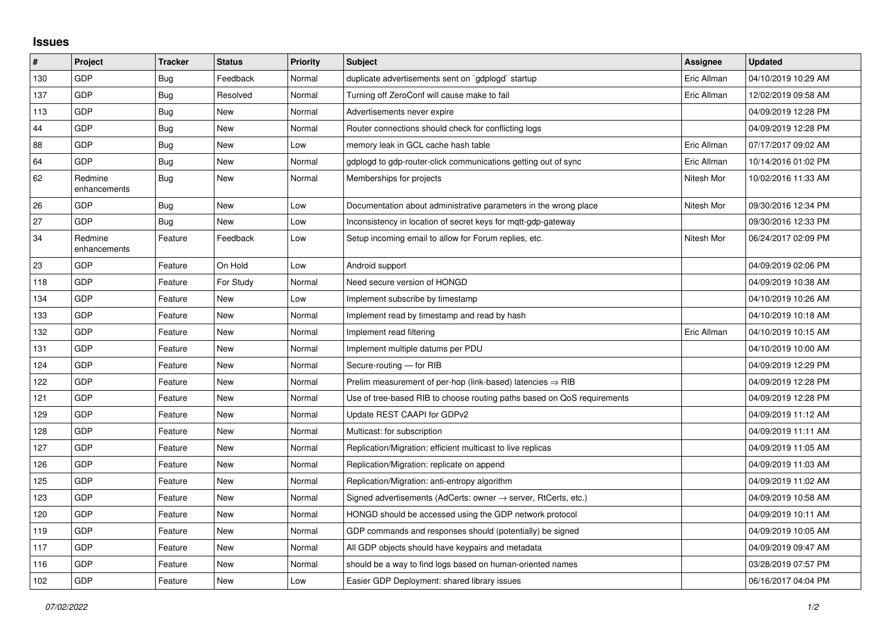## **Issues**

| $\sharp$ | <b>Project</b>          | <b>Tracker</b> | <b>Status</b> | <b>Priority</b> | <b>Subject</b>                                                          | Assignee    | <b>Updated</b>      |
|----------|-------------------------|----------------|---------------|-----------------|-------------------------------------------------------------------------|-------------|---------------------|
| 130      | GDP                     | Bug            | Feedback      | Normal          | duplicate advertisements sent on `gdplogd` startup                      | Eric Allman | 04/10/2019 10:29 AM |
| 137      | <b>GDP</b>              | Bug            | Resolved      | Normal          | Turning off ZeroConf will cause make to fail                            | Eric Allman | 12/02/2019 09:58 AM |
| 113      | GDP                     | Bug            | <b>New</b>    | Normal          | Advertisements never expire                                             |             | 04/09/2019 12:28 PM |
| 44       | <b>GDP</b>              | Bug            | <b>New</b>    | Normal          | Router connections should check for conflicting logs                    |             | 04/09/2019 12:28 PM |
| 88       | GDP                     | <b>Bug</b>     | <b>New</b>    | Low             | memory leak in GCL cache hash table                                     | Eric Allman | 07/17/2017 09:02 AM |
| 64       | <b>GDP</b>              | Bug            | New           | Normal          | gdplogd to gdp-router-click communications getting out of sync          | Eric Allman | 10/14/2016 01:02 PM |
| 62       | Redmine<br>enhancements | Bug            | <b>New</b>    | Normal          | Memberships for projects                                                | Nitesh Mor  | 10/02/2016 11:33 AM |
| 26       | <b>GDP</b>              | Bug            | <b>New</b>    | Low             | Documentation about administrative parameters in the wrong place        | Nitesh Mor  | 09/30/2016 12:34 PM |
| 27       | <b>GDP</b>              | <b>Bug</b>     | <b>New</b>    | Low             | Inconsistency in location of secret keys for mqtt-gdp-gateway           |             | 09/30/2016 12:33 PM |
| 34       | Redmine<br>enhancements | Feature        | Feedback      | Low             | Setup incoming email to allow for Forum replies, etc.                   | Nitesh Mor  | 06/24/2017 02:09 PM |
| 23       | GDP                     | Feature        | On Hold       | Low             | Android support                                                         |             | 04/09/2019 02:06 PM |
| 118      | <b>GDP</b>              | Feature        | For Study     | Normal          | Need secure version of HONGD                                            |             | 04/09/2019 10:38 AM |
| 134      | <b>GDP</b>              | Feature        | <b>New</b>    | Low             | Implement subscribe by timestamp                                        |             | 04/10/2019 10:26 AM |
| 133      | <b>GDP</b>              | Feature        | <b>New</b>    | Normal          | Implement read by timestamp and read by hash                            |             | 04/10/2019 10:18 AM |
| 132      | GDP                     | Feature        | <b>New</b>    | Normal          | Implement read filtering                                                | Eric Allman | 04/10/2019 10:15 AM |
| 131      | GDP                     | Feature        | <b>New</b>    | Normal          | Implement multiple datums per PDU                                       |             | 04/10/2019 10:00 AM |
| 124      | <b>GDP</b>              | Feature        | <b>New</b>    | Normal          | Secure-routing - for RIB                                                |             | 04/09/2019 12:29 PM |
| 122      | <b>GDP</b>              | Feature        | <b>New</b>    | Normal          | Prelim measurement of per-hop (link-based) latencies $\Rightarrow$ RIB  |             | 04/09/2019 12:28 PM |
| 121      | <b>GDP</b>              | Feature        | <b>New</b>    | Normal          | Use of tree-based RIB to choose routing paths based on QoS requirements |             | 04/09/2019 12:28 PM |
| 129      | <b>GDP</b>              | Feature        | <b>New</b>    | Normal          | Update REST CAAPI for GDPv2                                             |             | 04/09/2019 11:12 AM |
| 128      | GDP                     | Feature        | <b>New</b>    | Normal          | Multicast: for subscription                                             |             | 04/09/2019 11:11 AM |
| 127      | <b>GDP</b>              | Feature        | <b>New</b>    | Normal          | Replication/Migration: efficient multicast to live replicas             |             | 04/09/2019 11:05 AM |
| 126      | <b>GDP</b>              | Feature        | <b>New</b>    | Normal          | Replication/Migration: replicate on append                              |             | 04/09/2019 11:03 AM |
| 125      | <b>GDP</b>              | Feature        | New           | Normal          | Replication/Migration: anti-entropy algorithm                           |             | 04/09/2019 11:02 AM |
| 123      | <b>GDP</b>              | Feature        | <b>New</b>    | Normal          | Signed advertisements (AdCerts: owner → server, RtCerts, etc.)          |             | 04/09/2019 10:58 AM |
| 120      | <b>GDP</b>              | Feature        | <b>New</b>    | Normal          | HONGD should be accessed using the GDP network protocol                 |             | 04/09/2019 10:11 AM |
| 119      | <b>GDP</b>              | Feature        | <b>New</b>    | Normal          | GDP commands and responses should (potentially) be signed               |             | 04/09/2019 10:05 AM |
| 117      | <b>GDP</b>              | Feature        | <b>New</b>    | Normal          | All GDP objects should have keypairs and metadata                       |             | 04/09/2019 09:47 AM |
| 116      | <b>GDP</b>              | Feature        | <b>New</b>    | Normal          | should be a way to find logs based on human-oriented names              |             | 03/28/2019 07:57 PM |
| 102      | GDP                     | Feature        | <b>New</b>    | Low             | Easier GDP Deployment: shared library issues                            |             | 06/16/2017 04:04 PM |